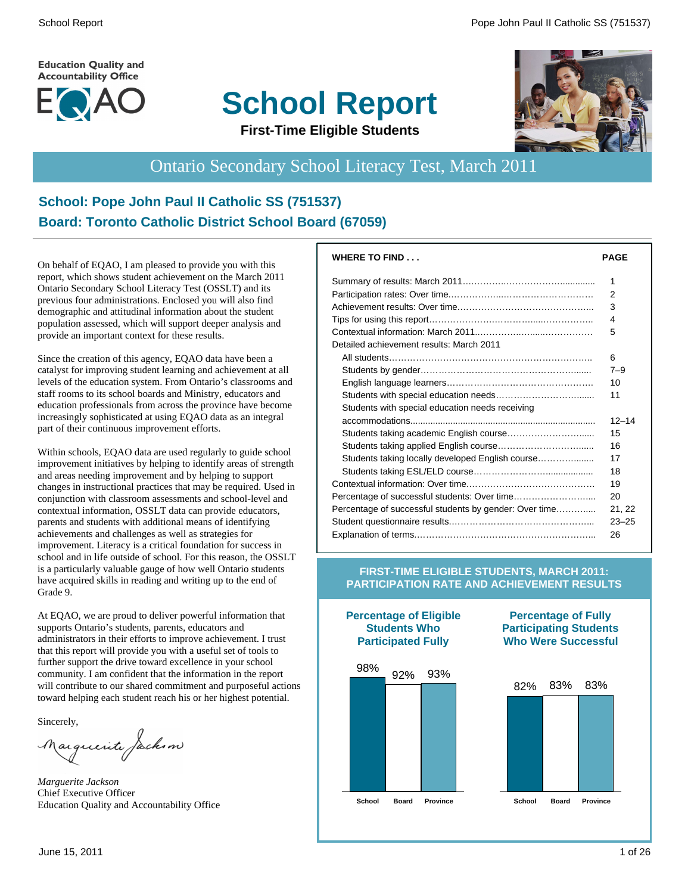**Education Quality and Accountability Office** 



# **School Report**



#### **First-Time Eligible Students**

# Ontario Secondary School Literacy Test, March 2011

#### **School: Pope John Paul II Catholic SS (751537) Board: Toronto Catholic District School Board (67059)**

On behalf of EQAO, I am pleased to provide you with this report, which shows student achievement on the March 2011 Ontario Secondary School Literacy Test (OSSLT) and its previous four administrations. Enclosed you will also find demographic and attitudinal information about the student population assessed, which will support deeper analysis and provide an important context for these results.

Since the creation of this agency, EQAO data have been a catalyst for improving student learning and achievement at all levels of the education system. From Ontario's classrooms and staff rooms to its school boards and Ministry, educators and education professionals from across the province have become increasingly sophisticated at using EQAO data as an integral part of their continuous improvement efforts.

Within schools, EQAO data are used regularly to guide school improvement initiatives by helping to identify areas of strength and areas needing improvement and by helping to support changes in instructional practices that may be required. Used in conjunction with classroom assessments and school-level and contextual information, OSSLT data can provide educators, parents and students with additional means of identifying achievements and challenges as well as strategies for improvement. Literacy is a critical foundation for success in school and in life outside of school. For this reason, the OSSLT is a particularly valuable gauge of how well Ontario students have acquired skills in reading and writing up to the end of Grade 9.

At EQAO, we are proud to deliver powerful information that supports Ontario's students, parents, educators and administrators in their efforts to improve achievement. I trust that this report will provide you with a useful set of tools to further support the drive toward excellence in your school community. I am confident that the information in the report will contribute to our shared commitment and purposeful actions toward helping each student reach his or her highest potential.

Sincerely,

auguerite factum

*Marguerite Jackson* Chief Executive Officer Education Quality and Accountability Office

| <b>PAGE</b> |
|-------------|
| 1           |
| 2           |
| 3           |
| 4           |
| 5           |
|             |
| 6           |
| $7 - 9$     |
| 10          |
| 11          |
|             |
| $12 - 14$   |
| 15          |
| 16          |
| 17          |
| 18          |
| 19          |
| 20          |
| 21, 22      |
| $23 - 25$   |
| 26          |
|             |

#### **FIRST-TIME ELIGIBLE STUDENTS, MARCH 2011: PARTICIPATION RATE AND ACHIEVEMENT RESULTS**



**Percentage of Eligible Students Who**

#### **Percentage of Fully Participating Students Who Were Successful**

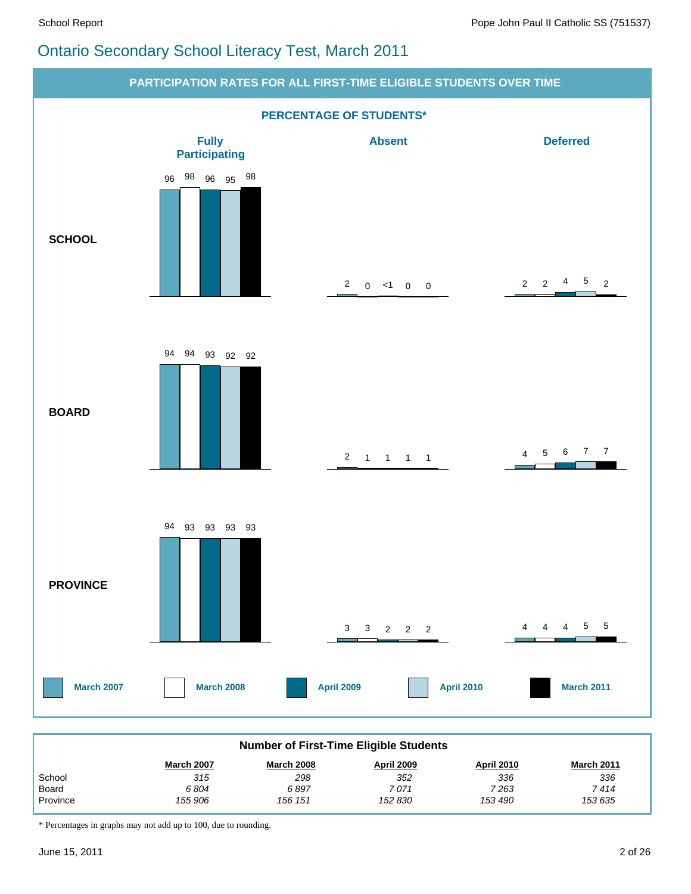# Ontario Secondary School Literacy Test, March 2011



| <b>Number of First-Time Eligible Students</b>                                                  |         |         |         |         |         |  |  |  |  |
|------------------------------------------------------------------------------------------------|---------|---------|---------|---------|---------|--|--|--|--|
| <b>March 2007</b><br>April 2009<br><b>April 2010</b><br><b>March 2011</b><br><b>March 2008</b> |         |         |         |         |         |  |  |  |  |
| School                                                                                         | 315     | 298     | 352     | 336     | 336     |  |  |  |  |
| Board                                                                                          | 6804    | 6897    | 7 071   | 7 263   | 7 414   |  |  |  |  |
| Province                                                                                       | 155 906 | 156 151 | 152 830 | 153 490 | 153 635 |  |  |  |  |

\* Percentages in graphs may not add up to 100, due to rounding.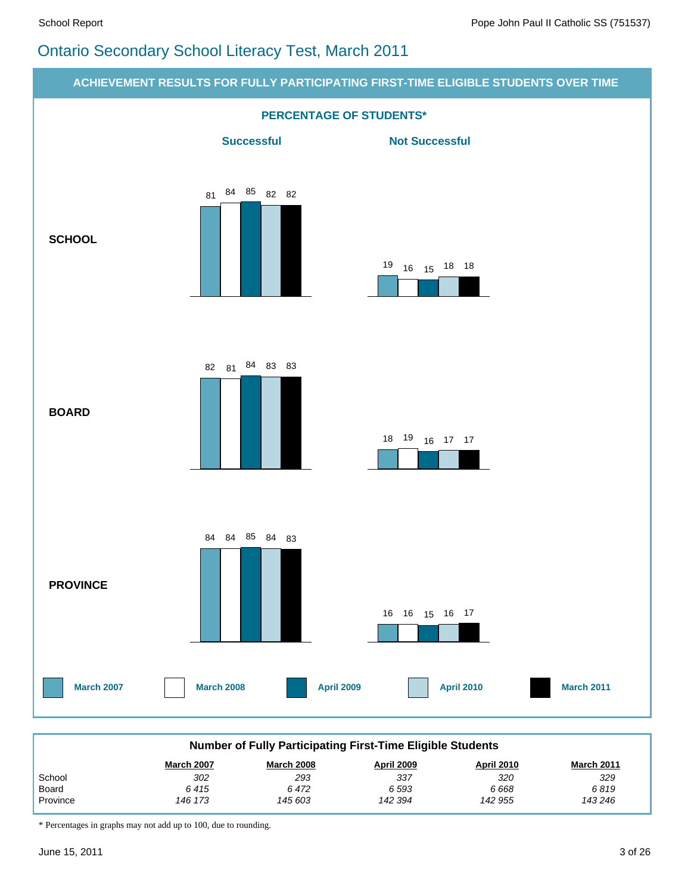# Ontario Secondary School Literacy Test, March 2011



\* Percentages in graphs may not add up to 100, due to rounding.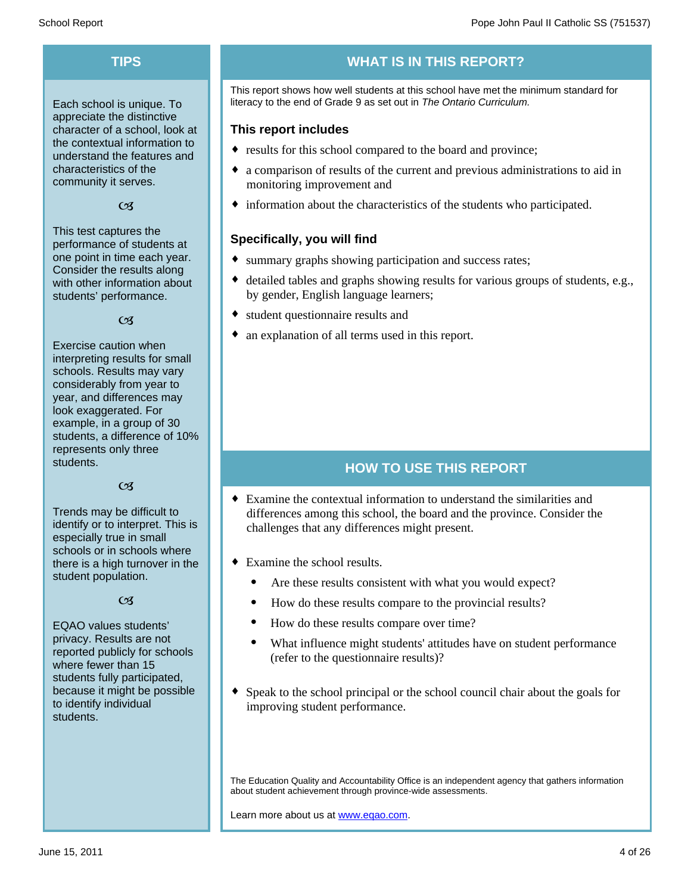Each school is unique. To appreciate the distinctive character of a school, look at the contextual information to understand the features and characteristics of the community it serves.

#### $C<sub>3</sub>$

This test captures the performance of students at one point in time each year. Consider the results along with other information about students' performance.

#### $\alpha$

Exercise caution when interpreting results for small schools. Results may vary considerably from year to year, and differences may look exaggerated. For example, in a group of 30 students, a difference of 10% represents only three students.

#### $C<sub>3</sub>$

Trends may be difficult to identify or to interpret. This is especially true in small schools or in schools where there is a high turnover in the student population.

#### $C<sub>3</sub>$

EQAO values students' privacy. Results are not reported publicly for schools where fewer than 15 students fully participated, because it might be possible to identify individual students.

# **TIPS WHAT IS IN THIS REPORT?**

This report shows how well students at this school have met the minimum standard for literacy to the end of Grade 9 as set out in *The Ontario Curriculum.*

#### **This report includes**

- results for this school compared to the board and province;
- a comparison of results of the current and previous administrations to aid in monitoring improvement and
- $\bullet$  information about the characteristics of the students who participated.

#### **Specifically, you will find**

- summary graphs showing participation and success rates;
- $\bullet$  detailed tables and graphs showing results for various groups of students, e.g., by gender, English language learners;
- student questionnaire results and
- an explanation of all terms used in this report.

#### **HOW TO USE THIS REPORT**

- $\bullet$  Examine the contextual information to understand the similarities and differences among this school, the board and the province. Consider the challenges that any differences might present.
- $\bullet$  Examine the school results.
	- Are these results consistent with what you would expect?
	- · How do these results compare to the provincial results?
	- How do these results compare over time?
	- · What influence might students' attitudes have on student performance (refer to the questionnaire results)?
- $\bullet$  Speak to the school principal or the school council chair about the goals for improving student performance.

The Education Quality and Accountability Office is an independent agency that gathers information about student achievement through province-wide assessments.

Learn more about us at www.eqao.com.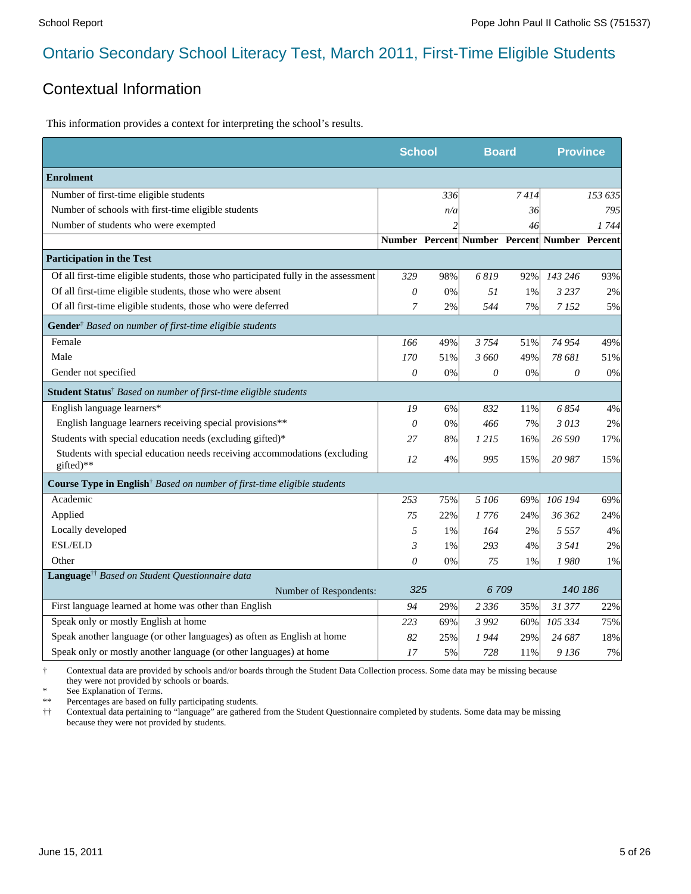#### Contextual Information

This information provides a context for interpreting the school's results.

|                                                                                        | <b>School</b>  |     | <b>Board</b>                                 |        | <b>Province</b> |         |
|----------------------------------------------------------------------------------------|----------------|-----|----------------------------------------------|--------|-----------------|---------|
| <b>Enrolment</b>                                                                       |                |     |                                              |        |                 |         |
| Number of first-time eligible students                                                 |                | 336 |                                              | 7414   |                 | 153 635 |
| Number of schools with first-time eligible students                                    |                | n/a |                                              | 36     |                 | 795     |
| Number of students who were exempted                                                   |                | 2   |                                              | 46     |                 | 1744    |
|                                                                                        |                |     | Number Percent Number Percent Number Percent |        |                 |         |
| <b>Participation in the Test</b>                                                       |                |     |                                              |        |                 |         |
| Of all first-time eligible students, those who participated fully in the assessment    | 329            | 98% | 6819                                         | 92%    | 143 246         | 93%     |
| Of all first-time eligible students, those who were absent                             | 0              | 0%  | 51                                           | 1%     | 3 2 3 7         | 2%      |
| Of all first-time eligible students, those who were deferred                           | $\overline{7}$ | 2%  | 544                                          | 7%     | 7 1 5 2         | 5%      |
| <b>Gender</b> <sup>†</sup> Based on number of first-time eligible students             |                |     |                                              |        |                 |         |
| Female                                                                                 | 166            | 49% | 3754                                         | 51%    | 74 954          | 49%     |
| Male                                                                                   | 170            | 51% | 3 660                                        | 49%    | 78 681          | 51%     |
| Gender not specified                                                                   | 0              | 0%  | 0                                            | 0%     | 0               | 0%      |
| Student Status <sup>†</sup> Based on number of first-time eligible students            |                |     |                                              |        |                 |         |
| English language learners*                                                             | 19             | 6%  | 832                                          | $11\%$ | 6854            | 4%      |
| English language learners receiving special provisions**                               | $\theta$       | 0%  | 466                                          | 7%     | 3013            | 2%      |
| Students with special education needs (excluding gifted)*                              | 27             | 8%  | 1 215                                        | 16%    | 26 590          | 17%     |
| Students with special education needs receiving accommodations (excluding<br>gifted)** | 12             | 4%  | 995                                          | 15%    | 20 987          | 15%     |
| Course Type in English <sup>†</sup> Based on number of first-time eligible students    |                |     |                                              |        |                 |         |
| Academic                                                                               | 253            | 75% | 5 106                                        | 69%    | 106 194         | 69%     |
| Applied                                                                                | 75             | 22% | 1 776                                        | 24%    | 36 362          | 24%     |
| Locally developed                                                                      | 5              | 1%  | 164                                          | 2%     | 5 5 5 7         | 4%      |
| <b>ESL/ELD</b>                                                                         | 3              | 1%  | 293                                          | 4%     | 3 5 4 1         | 2%      |
| Other                                                                                  | 0              | 0%  | 75                                           | 1%     | 1980            | 1%      |
| Language <sup>††</sup> Based on Student Questionnaire data                             |                |     |                                              |        |                 |         |
| Number of Respondents:                                                                 | 325            |     | 6709                                         |        | 140 186         |         |
| First language learned at home was other than English                                  | 94             | 29% | 2 3 3 6                                      | 35%    | 31 377          | 22%     |
| Speak only or mostly English at home                                                   | 223            | 69% | 3 9 9 2                                      | 60%    | 105 334         | 75%     |
| Speak another language (or other languages) as often as English at home                | 82             | 25% | 1 944                                        | 29%    | 24 687          | 18%     |
| Speak only or mostly another language (or other languages) at home                     | 17             | 5%  | 728                                          | 11%    | 9 1 36          | 7%      |

† Contextual data are provided by schools and/or boards through the Student Data Collection process. Some data may be missing because they were not provided by schools or boards.

\* See Explanation of Terms.<br>\*\* Percentages are based on fix

Percentages are based on fully participating students.

†† Contextual data pertaining to "language" are gathered from the Student Questionnaire completed by students. Some data may be missing because they were not provided by students.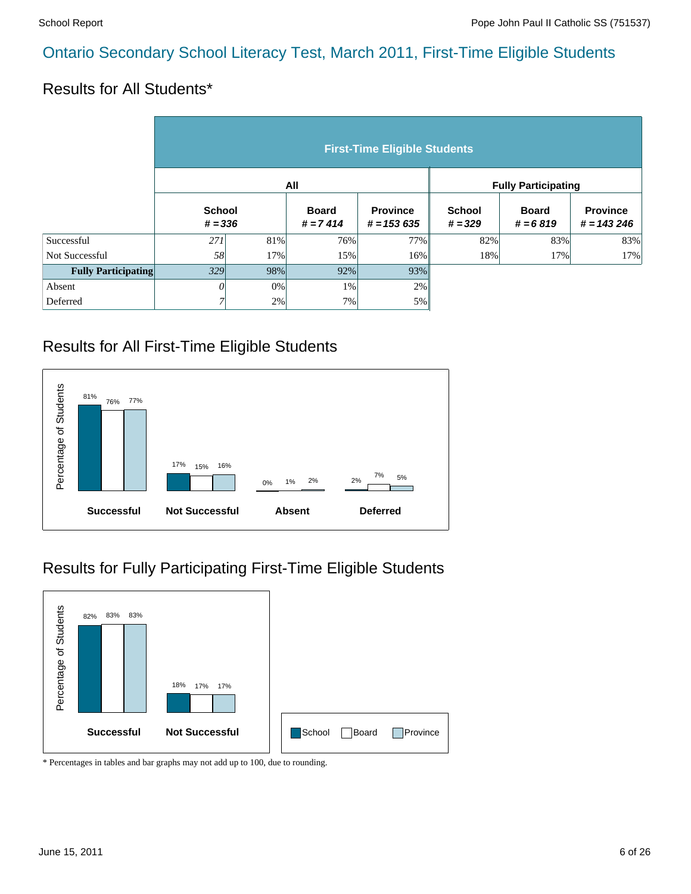#### Results for All Students\*

|                            | <b>First-Time Eligible Students</b> |                            |     |                                 |                            |                            |                                 |  |  |  |  |
|----------------------------|-------------------------------------|----------------------------|-----|---------------------------------|----------------------------|----------------------------|---------------------------------|--|--|--|--|
|                            |                                     |                            | All |                                 | <b>Fully Participating</b> |                            |                                 |  |  |  |  |
|                            |                                     | <b>School</b><br>$# = 336$ |     | <b>Province</b><br>$# = 153635$ | <b>School</b><br>$# = 329$ | <b>Board</b><br>$# = 6819$ | <b>Province</b><br>$# = 143246$ |  |  |  |  |
| Successful                 | 271                                 | 81%                        | 76% | 77%                             | 82%                        | 83%                        | 83%                             |  |  |  |  |
| Not Successful             | 58                                  | 17%                        | 15% | 16%                             | 18%                        | 17%                        | 17%                             |  |  |  |  |
| <b>Fully Participating</b> | 329                                 | 98%                        | 92% | 93%                             |                            |                            |                                 |  |  |  |  |
| Absent                     | O                                   | $0\%$                      | 1%  | 2%                              |                            |                            |                                 |  |  |  |  |
| Deferred                   | $\overline{ }$                      | 2%                         | 7%  | 5%                              |                            |                            |                                 |  |  |  |  |

#### Results for All First-Time Eligible Students



#### Results for Fully Participating First-Time Eligible Students

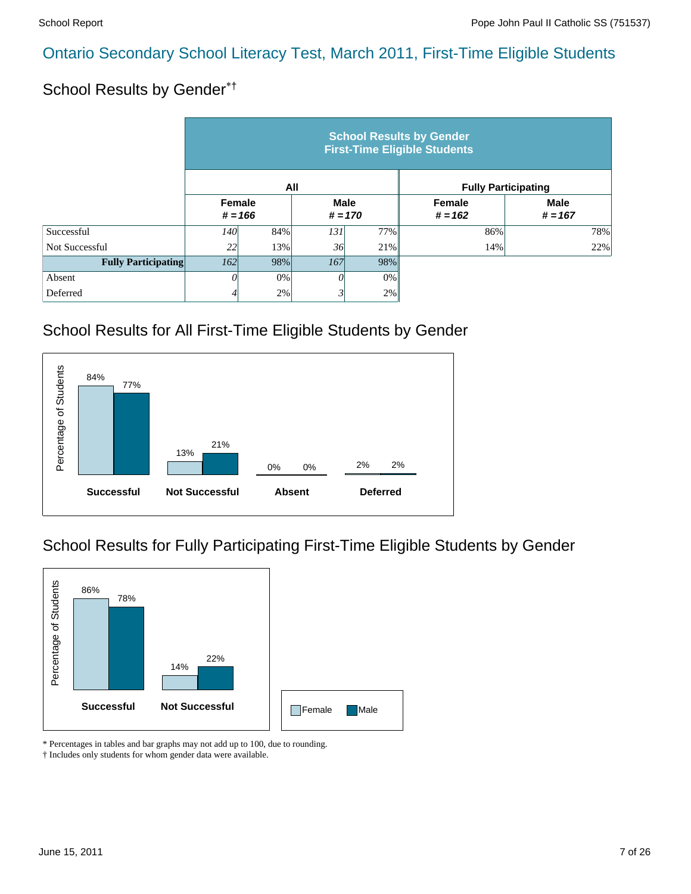#### School Results by Gender\*†

|                            | <b>School Results by Gender</b><br><b>First-Time Eligible Students</b> |           |                          |     |                            |                          |  |  |  |  |
|----------------------------|------------------------------------------------------------------------|-----------|--------------------------|-----|----------------------------|--------------------------|--|--|--|--|
|                            |                                                                        | All       |                          |     | <b>Fully Participating</b> |                          |  |  |  |  |
|                            | Female                                                                 | $# = 166$ | <b>Male</b><br>$# = 170$ |     | <b>Female</b><br>$# = 162$ | <b>Male</b><br>$# = 167$ |  |  |  |  |
| Successful                 | <i>140</i>                                                             | 84%       | 131                      | 77% | 86%                        | 78%                      |  |  |  |  |
| Not Successful             | 22                                                                     | 13%       | 36                       | 21% | 14%                        | 22%                      |  |  |  |  |
| <b>Fully Participating</b> | 162                                                                    | 98%       | 167                      | 98% |                            |                          |  |  |  |  |
| Absent                     | $\Omega$                                                               | 0%        | $\theta$                 | 0%  |                            |                          |  |  |  |  |
| Deferred                   | 4                                                                      | 2%        |                          | 2%  |                            |                          |  |  |  |  |

# School Results for All First-Time Eligible Students by Gender



# School Results for Fully Participating First-Time Eligible Students by Gender



\* Percentages in tables and bar graphs may not add up to 100, due to rounding.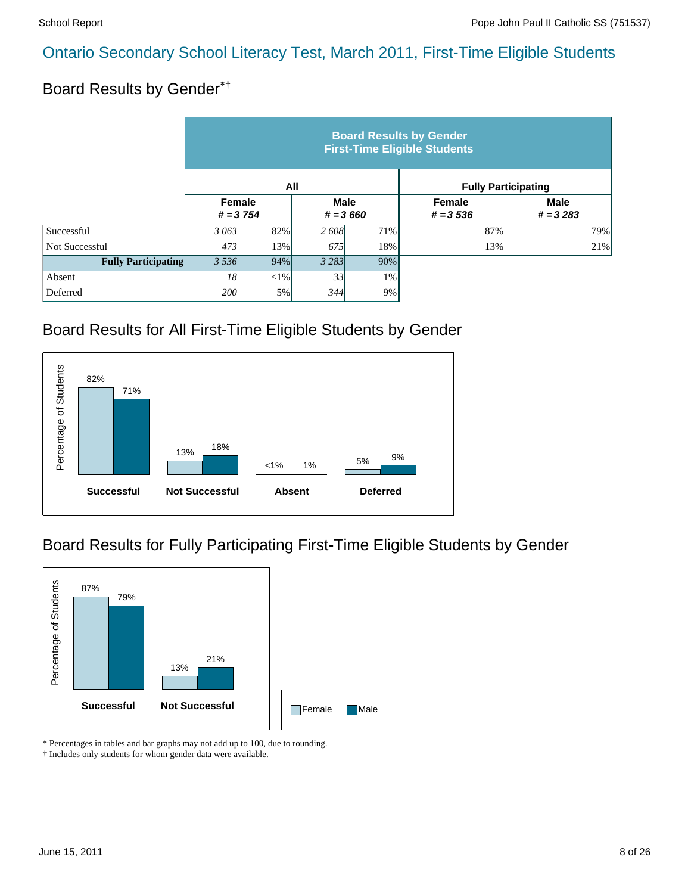# Board Results by Gender\*†

|                            | <b>Board Results by Gender</b><br><b>First-Time Eligible Students</b> |                                                   |         |                              |                            |     |  |  |  |  |
|----------------------------|-----------------------------------------------------------------------|---------------------------------------------------|---------|------------------------------|----------------------------|-----|--|--|--|--|
|                            |                                                                       |                                                   | All     |                              | <b>Fully Participating</b> |     |  |  |  |  |
|                            |                                                                       | Female<br><b>Male</b><br>$# = 3754$<br>$# = 3660$ |         | <b>Female</b><br>$# = 3,536$ | <b>Male</b><br>$# = 3283$  |     |  |  |  |  |
| Successful                 | 3 063                                                                 | 82%                                               | 2 608   | 71%                          | 87%                        | 79% |  |  |  |  |
| Not Successful             | 473                                                                   | 13%                                               | 675     | 18%                          | 13%                        | 21% |  |  |  |  |
| <b>Fully Participating</b> | 3 5 3 6<br>94%                                                        |                                                   | 3 2 8 3 | 90%                          |                            |     |  |  |  |  |
| Absent                     | 18                                                                    | ${<}1\%$                                          | 33      | $1\%$                        |                            |     |  |  |  |  |
| Deferred                   | 200l                                                                  | 5%                                                | 344     | 9%                           |                            |     |  |  |  |  |

#### Board Results for All First-Time Eligible Students by Gender



#### Board Results for Fully Participating First-Time Eligible Students by Gender



\* Percentages in tables and bar graphs may not add up to 100, due to rounding.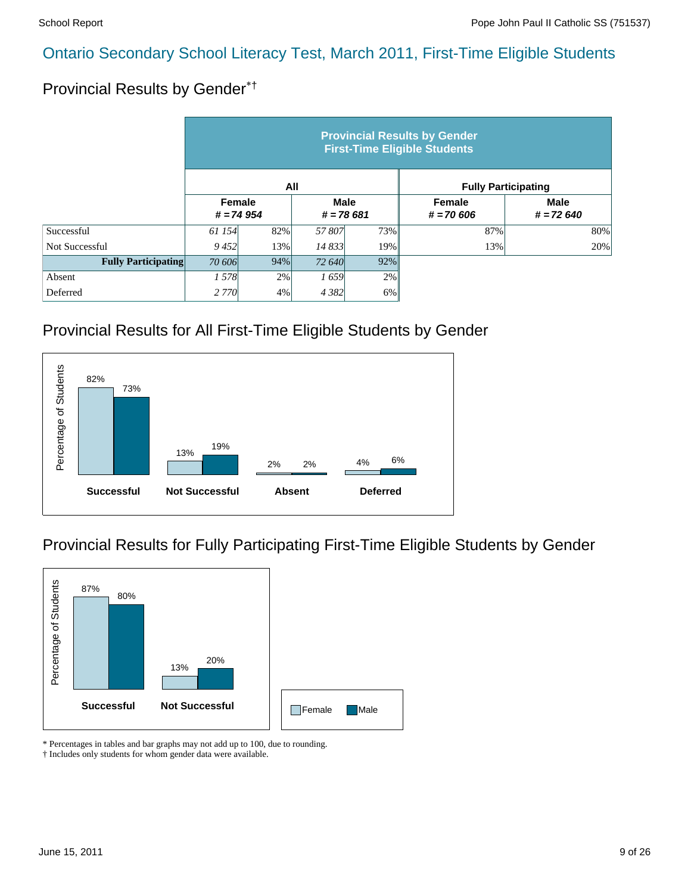# Provincial Results by Gender\*†

|                            | <b>Provincial Results by Gender</b><br><b>First-Time Eligible Students</b> |     |                            |       |                            |                            |  |  |  |  |
|----------------------------|----------------------------------------------------------------------------|-----|----------------------------|-------|----------------------------|----------------------------|--|--|--|--|
|                            |                                                                            | All |                            |       | <b>Fully Participating</b> |                            |  |  |  |  |
|                            | Female<br>$# = 74954$                                                      |     | <b>Male</b><br>$# = 78681$ |       | Female<br>$# = 70606$      | <b>Male</b><br>$# = 72640$ |  |  |  |  |
| Successful                 | 61 154                                                                     | 82% | 57807                      | 73%   | 87%                        | 80%                        |  |  |  |  |
| Not Successful             | 9452                                                                       | 13% | 14 833                     | 19%   | 13%                        | 20%                        |  |  |  |  |
| <b>Fully Participating</b> | 94%<br>70 606                                                              |     | 72 640                     | 92%   |                            |                            |  |  |  |  |
| Absent                     | 1578                                                                       | 2%  | 1659                       | 2%    |                            |                            |  |  |  |  |
| Deferred                   | 2 7 7 0                                                                    | 4%  | 4 3 8 2                    | $6\%$ |                            |                            |  |  |  |  |

#### Provincial Results for All First-Time Eligible Students by Gender



#### Provincial Results for Fully Participating First-Time Eligible Students by Gender



\* Percentages in tables and bar graphs may not add up to 100, due to rounding.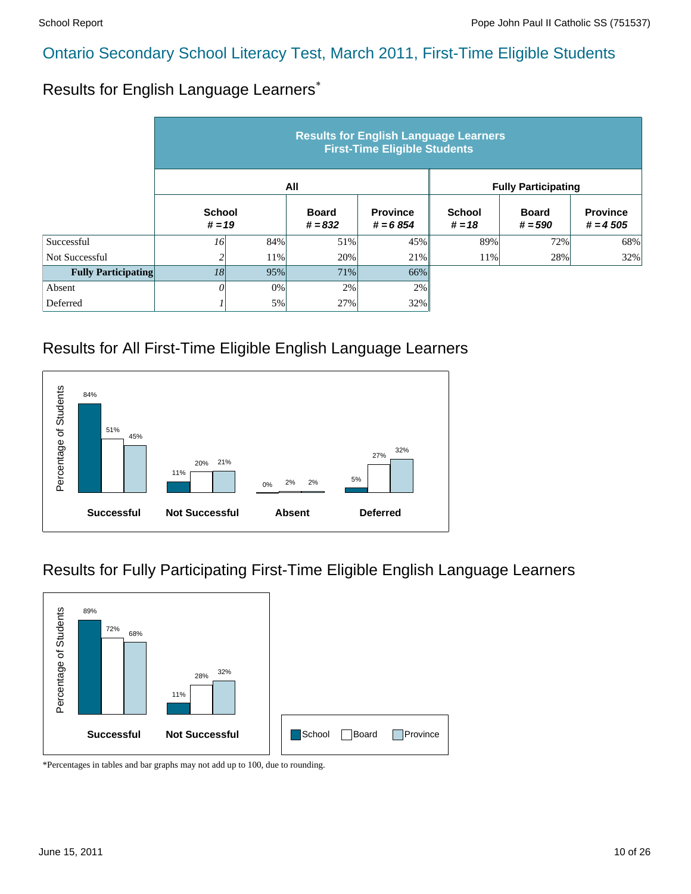#### Results for English Language Learners\*

|                            | <b>Results for English Language Learners</b><br><b>First-Time Eligible Students</b> |                           |     |                               |                            |                           |                               |  |  |  |
|----------------------------|-------------------------------------------------------------------------------------|---------------------------|-----|-------------------------------|----------------------------|---------------------------|-------------------------------|--|--|--|
|                            |                                                                                     |                           | All |                               | <b>Fully Participating</b> |                           |                               |  |  |  |
|                            |                                                                                     | <b>School</b><br>$# = 19$ |     | <b>Province</b><br>$# = 6854$ | <b>School</b><br>$# = 18$  | <b>Board</b><br>$# = 590$ | <b>Province</b><br>$# = 4505$ |  |  |  |
| Successful                 | 16                                                                                  | 84%                       | 51% | 45%                           | 89%                        | 72%                       | 68%                           |  |  |  |
| Not Successful             |                                                                                     | 11%                       | 20% | 21%                           | 11%                        | 28%                       | 32%                           |  |  |  |
| <b>Fully Participating</b> | 18                                                                                  | 95%                       | 71% | 66%                           |                            |                           |                               |  |  |  |
| Absent                     |                                                                                     | 0%                        | 2%  | 2%                            |                            |                           |                               |  |  |  |
| Deferred                   |                                                                                     | 5%                        | 27% | 32%                           |                            |                           |                               |  |  |  |

#### Results for All First-Time Eligible English Language Learners



#### Results for Fully Participating First-Time Eligible English Language Learners

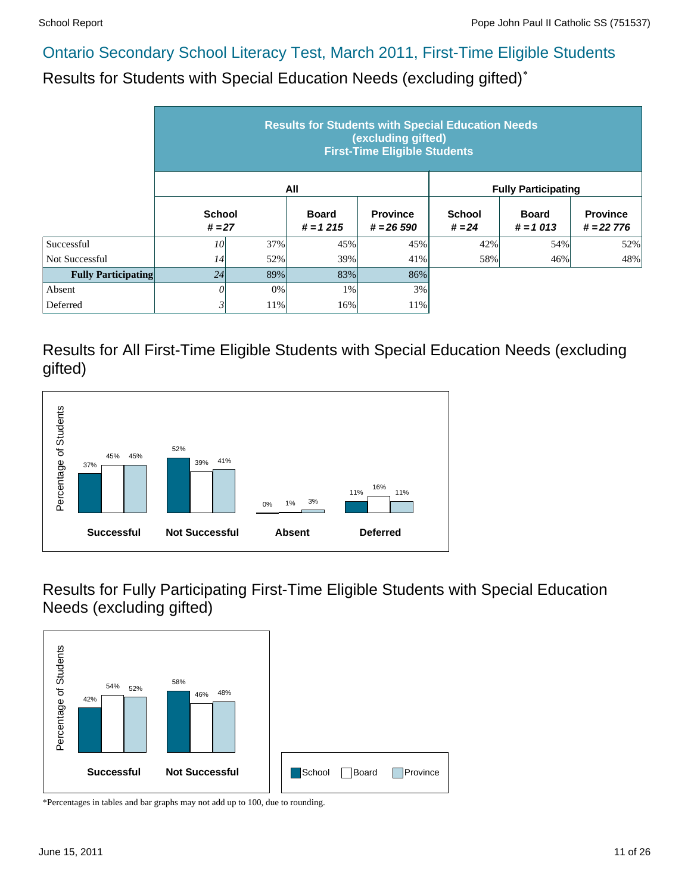Results for Students with Special Education Needs (excluding gifted)\*

|                            | <b>Results for Students with Special Education Needs</b><br>(excluding gifted)<br><b>First-Time Eligible Students</b> |                           |     |                                 |                           |                            |                                |  |  |  |
|----------------------------|-----------------------------------------------------------------------------------------------------------------------|---------------------------|-----|---------------------------------|---------------------------|----------------------------|--------------------------------|--|--|--|
|                            |                                                                                                                       |                           | All |                                 |                           | <b>Fully Participating</b> |                                |  |  |  |
|                            |                                                                                                                       | <b>School</b><br>$# = 27$ |     | <b>Province</b><br>$# = 26,590$ | <b>School</b><br>$# = 24$ | <b>Board</b><br>$# = 1013$ | <b>Province</b><br>$# = 22776$ |  |  |  |
| Successful                 | 10                                                                                                                    | 37%                       | 45% | 45%                             | 42%                       | 54%                        | 52%                            |  |  |  |
| <b>Not Successful</b>      | 14                                                                                                                    | 52%                       | 39% | 41%                             | 58%                       | 46%                        | 48%                            |  |  |  |
| <b>Fully Participating</b> | 24                                                                                                                    | 89%                       | 83% | 86%                             |                           |                            |                                |  |  |  |
| Absent                     | 0                                                                                                                     | 0%                        | 1%  | 3%                              |                           |                            |                                |  |  |  |
| Deferred                   | $\mathfrak{z}$                                                                                                        | 11%                       | 16% | 11%                             |                           |                            |                                |  |  |  |

Results for All First-Time Eligible Students with Special Education Needs (excluding gifted)



Results for Fully Participating First-Time Eligible Students with Special Education Needs (excluding gifted)

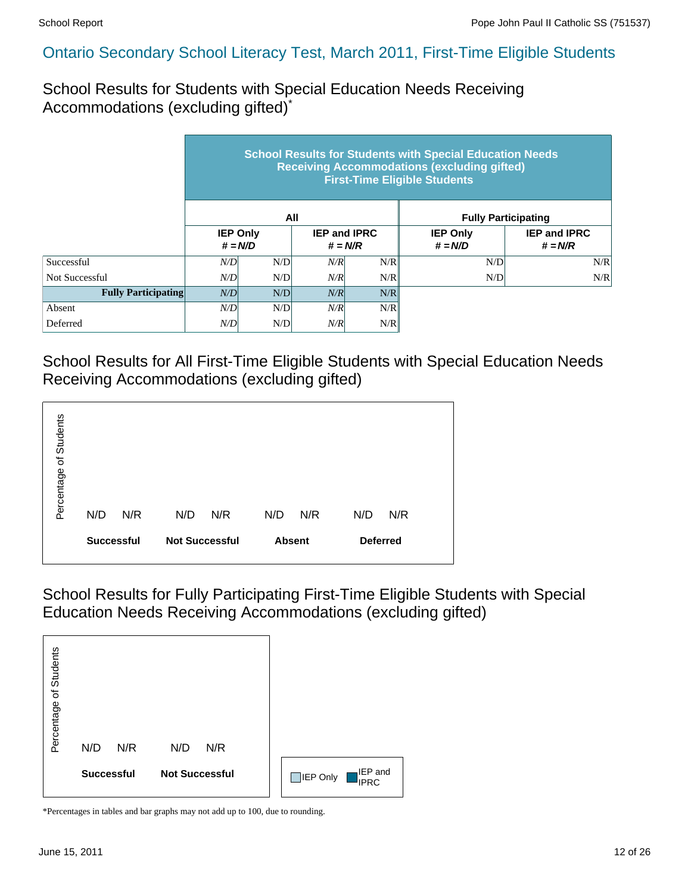School Results for Students with Special Education Needs Receiving Accommodations (excluding gifted)\*

|                            | <b>School Results for Students with Special Education Needs</b><br><b>Receiving Accommodations (excluding gifted)</b><br><b>First-Time Eligible Students</b> |                 |                                  |     |                              |                                  |  |  |  |  |
|----------------------------|--------------------------------------------------------------------------------------------------------------------------------------------------------------|-----------------|----------------------------------|-----|------------------------------|----------------------------------|--|--|--|--|
|                            |                                                                                                                                                              |                 | All                              |     | <b>Fully Participating</b>   |                                  |  |  |  |  |
|                            | $# = N/D$                                                                                                                                                    | <b>IEP Only</b> | <b>IEP and IPRC</b><br>$# = N/R$ |     | <b>IEP Only</b><br>$# = N/D$ | <b>IEP and IPRC</b><br>$# = N/R$ |  |  |  |  |
| Successful                 | N/D                                                                                                                                                          | N/D             | N/R                              | N/R | N/D                          | N/R                              |  |  |  |  |
| Not Successful             | N/D                                                                                                                                                          | N/D             | N/R                              | N/R | N/D                          | N/R                              |  |  |  |  |
| <b>Fully Participating</b> | N/D<br>N/D                                                                                                                                                   |                 | N/R                              | N/R |                              |                                  |  |  |  |  |
| Absent                     | N/D                                                                                                                                                          | N/D             | N/R                              | N/R |                              |                                  |  |  |  |  |
| Deferred                   | N/D                                                                                                                                                          | N/D             | N/R                              | N/R |                              |                                  |  |  |  |  |

School Results for All First-Time Eligible Students with Special Education Needs Receiving Accommodations (excluding gifted)



School Results for Fully Participating First-Time Eligible Students with Special Education Needs Receiving Accommodations (excluding gifted)

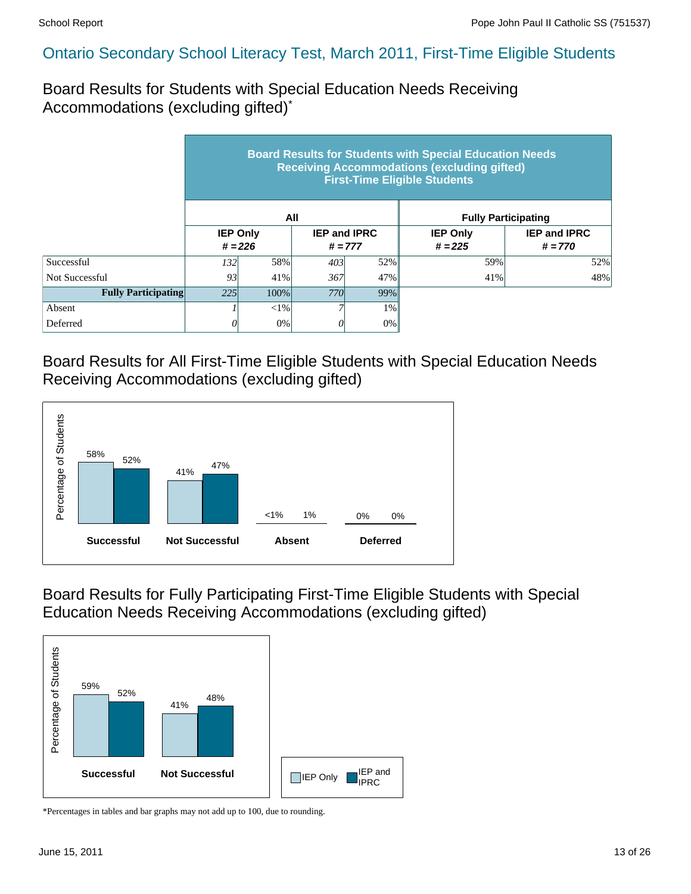Board Results for Students with Special Education Needs Receiving Accommodations (excluding gifted)\*

|                            | <b>Board Results for Students with Special Education Needs</b><br><b>Receiving Accommodations (excluding gifted)</b><br><b>First-Time Eligible Students</b> |                              |            |                                  |                              |                                  |  |  |  |  |
|----------------------------|-------------------------------------------------------------------------------------------------------------------------------------------------------------|------------------------------|------------|----------------------------------|------------------------------|----------------------------------|--|--|--|--|
|                            |                                                                                                                                                             |                              | All        |                                  |                              | <b>Fully Participating</b>       |  |  |  |  |
|                            |                                                                                                                                                             | <b>IEP Only</b><br>$# = 226$ |            | <b>IEP and IPRC</b><br>$# = 777$ | <b>IEP Only</b><br>$# = 225$ | <b>IEP and IPRC</b><br>$# = 770$ |  |  |  |  |
| Successful                 | 132 <sup> </sup>                                                                                                                                            | 58%                          | 403        | 52%                              | 59%                          | 52%                              |  |  |  |  |
| Not Successful             | 93                                                                                                                                                          | 41%                          | 367        | 47%                              | 41%                          | 48%                              |  |  |  |  |
| <b>Fully Participating</b> | 225                                                                                                                                                         | 100%                         | <b>770</b> | 99%                              |                              |                                  |  |  |  |  |
| Absent                     | $< 1\%$<br>$1\%$                                                                                                                                            |                              |            |                                  |                              |                                  |  |  |  |  |
| Deferred                   |                                                                                                                                                             | 0%                           |            | $0\%$                            |                              |                                  |  |  |  |  |

Board Results for All First-Time Eligible Students with Special Education Needs Receiving Accommodations (excluding gifted)



Board Results for Fully Participating First-Time Eligible Students with Special Education Needs Receiving Accommodations (excluding gifted)

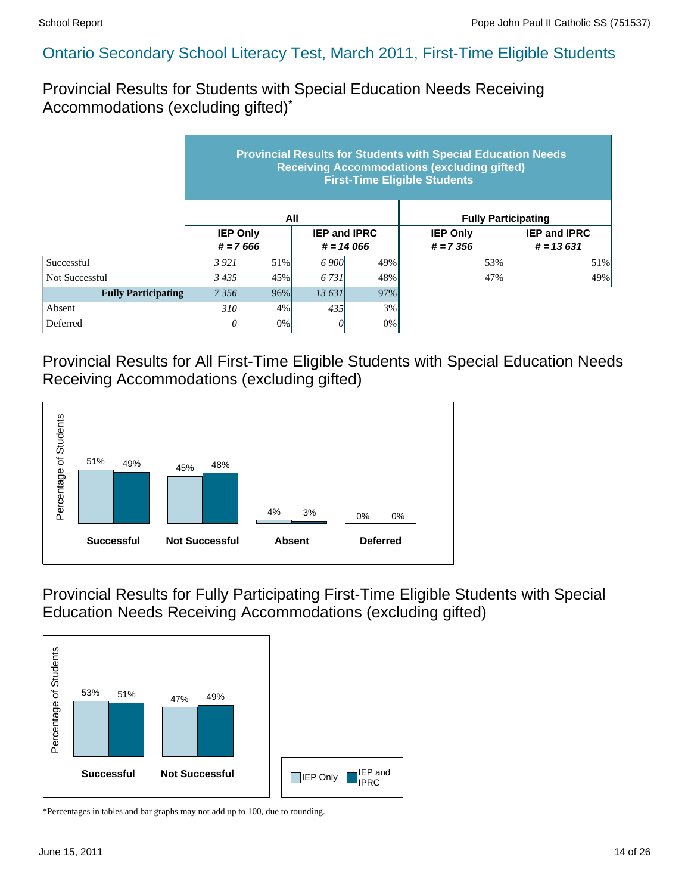Provincial Results for Students with Special Education Needs Receiving Accommodations (excluding gifted)\*

|                            | <b>Provincial Results for Students with Special Education Needs</b><br><b>Receiving Accommodations (excluding gifted)</b><br><b>First-Time Eligible Students</b> |                                                                     |        |     |                                |                                    |  |  |  |  |
|----------------------------|------------------------------------------------------------------------------------------------------------------------------------------------------------------|---------------------------------------------------------------------|--------|-----|--------------------------------|------------------------------------|--|--|--|--|
|                            |                                                                                                                                                                  |                                                                     | All    |     |                                | <b>Fully Participating</b>         |  |  |  |  |
|                            |                                                                                                                                                                  | <b>IEP Only</b><br><b>IEP and IPRC</b><br>$# = 7666$<br>$# = 14066$ |        |     | <b>IEP Only</b><br>$# = 7.356$ | <b>IEP and IPRC</b><br>$# = 13631$ |  |  |  |  |
| Successful                 | 3921                                                                                                                                                             | 51%                                                                 | 6 900  | 49% | 53%                            | 51%                                |  |  |  |  |
| Not Successful             | 3435                                                                                                                                                             | 45%                                                                 | 6.731  | 48% | 47%                            | 49%                                |  |  |  |  |
| <b>Fully Participating</b> | 7356                                                                                                                                                             | 96%                                                                 | 13 631 | 97% |                                |                                    |  |  |  |  |
| Absent                     | 310 <sup> </sup>                                                                                                                                                 | 4%                                                                  | 435    | 3%  |                                |                                    |  |  |  |  |
| Deferred                   | 0                                                                                                                                                                | 0%                                                                  | 0      | 0%  |                                |                                    |  |  |  |  |

Provincial Results for All First-Time Eligible Students with Special Education Needs Receiving Accommodations (excluding gifted)



Provincial Results for Fully Participating First-Time Eligible Students with Special Education Needs Receiving Accommodations (excluding gifted)

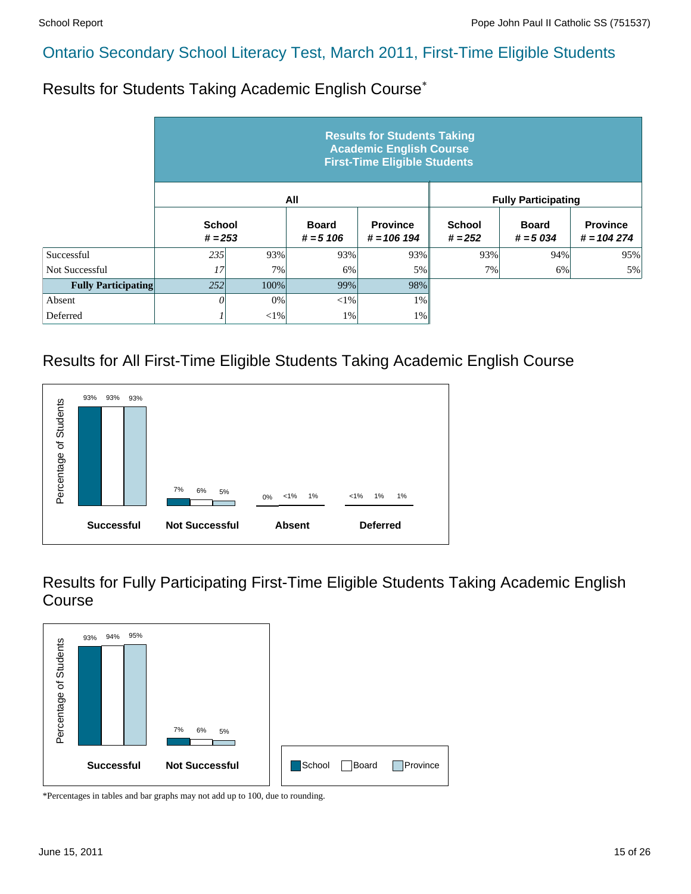Results for Students Taking Academic English Course\*

|                            | <b>Results for Students Taking</b><br><b>Academic English Course</b><br><b>First-Time Eligible Students</b> |        |                             |                                  |                            |                            |                                 |  |  |  |  |
|----------------------------|-------------------------------------------------------------------------------------------------------------|--------|-----------------------------|----------------------------------|----------------------------|----------------------------|---------------------------------|--|--|--|--|
|                            |                                                                                                             |        | All                         |                                  | <b>Fully Participating</b> |                            |                                 |  |  |  |  |
|                            | <b>School</b><br>$# = 253$                                                                                  |        | <b>Board</b><br>$# = 5 106$ | <b>Province</b><br>$# = 106 194$ | <b>School</b><br>$# = 252$ | <b>Board</b><br>$# = 5034$ | <b>Province</b><br>$# = 104274$ |  |  |  |  |
| Successful                 | 235                                                                                                         | 93%    | 93%                         | 93%                              | 93%                        | 94%                        | 95%                             |  |  |  |  |
| Not Successful             | 17                                                                                                          | 7%     | 6%                          | 5%                               | 7%                         | 6%                         | 5%                              |  |  |  |  |
| <b>Fully Participating</b> | 252                                                                                                         | 100%   | 99%                         | 98%                              |                            |                            |                                 |  |  |  |  |
| Absent                     | $\theta$                                                                                                    | 0%     | $<$ 1%                      | $1\%$                            |                            |                            |                                 |  |  |  |  |
| Deferred                   |                                                                                                             | $<$ 1% | 1%                          | $1\%$                            |                            |                            |                                 |  |  |  |  |

# Results for All First-Time Eligible Students Taking Academic English Course



Results for Fully Participating First-Time Eligible Students Taking Academic English Course

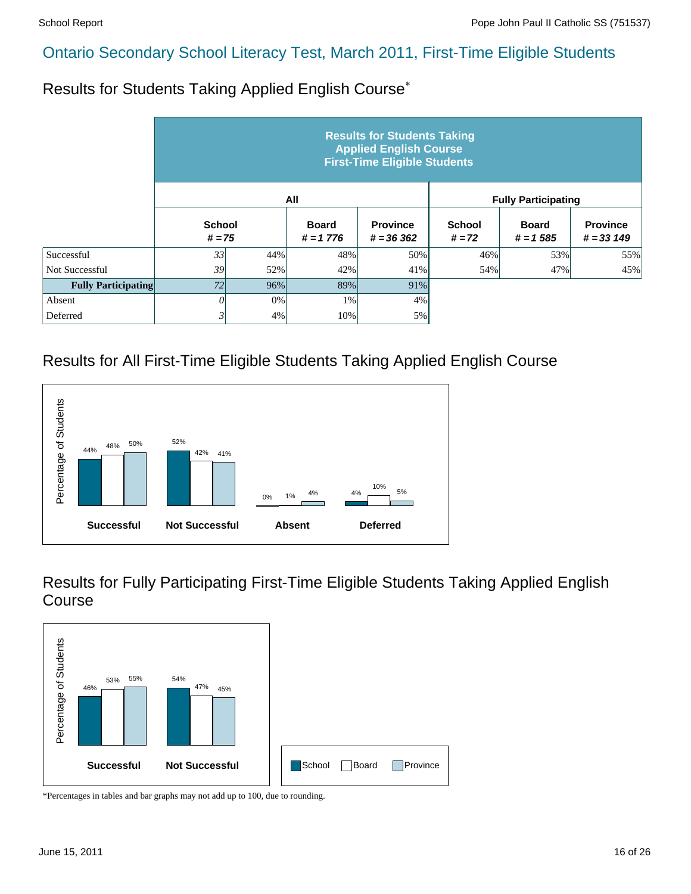Results for Students Taking Applied English Course\*

|                            | <b>Results for Students Taking</b><br><b>Applied English Course</b><br><b>First-Time Eligible Students</b> |     |                             |                                |                           |                            |                                 |  |  |  |  |
|----------------------------|------------------------------------------------------------------------------------------------------------|-----|-----------------------------|--------------------------------|---------------------------|----------------------------|---------------------------------|--|--|--|--|
|                            |                                                                                                            |     | All                         |                                |                           | <b>Fully Participating</b> |                                 |  |  |  |  |
|                            | <b>School</b><br>$# = 75$                                                                                  |     | <b>Board</b><br>$# = 1 776$ | <b>Province</b><br>$# = 36362$ | <b>School</b><br>$# = 72$ | <b>Board</b><br>$# = 1585$ | <b>Province</b><br>$# = 33 149$ |  |  |  |  |
| Successful                 | 33 <sup>1</sup>                                                                                            | 44% | 48%                         | 50%                            | 46%                       | 53%                        | 55%                             |  |  |  |  |
| Not Successful             | 39                                                                                                         | 52% | 42%                         | 41%                            | 54%                       | 47%                        | 45%                             |  |  |  |  |
| <b>Fully Participating</b> | 72                                                                                                         | 96% | 89%                         | 91%                            |                           |                            |                                 |  |  |  |  |
| Absent                     | 0                                                                                                          | 0%  | 1%                          | 4%                             |                           |                            |                                 |  |  |  |  |
| Deferred                   | 31                                                                                                         | 4%  | 10%                         | 5%                             |                           |                            |                                 |  |  |  |  |

#### Results for All First-Time Eligible Students Taking Applied English Course



Results for Fully Participating First-Time Eligible Students Taking Applied English Course

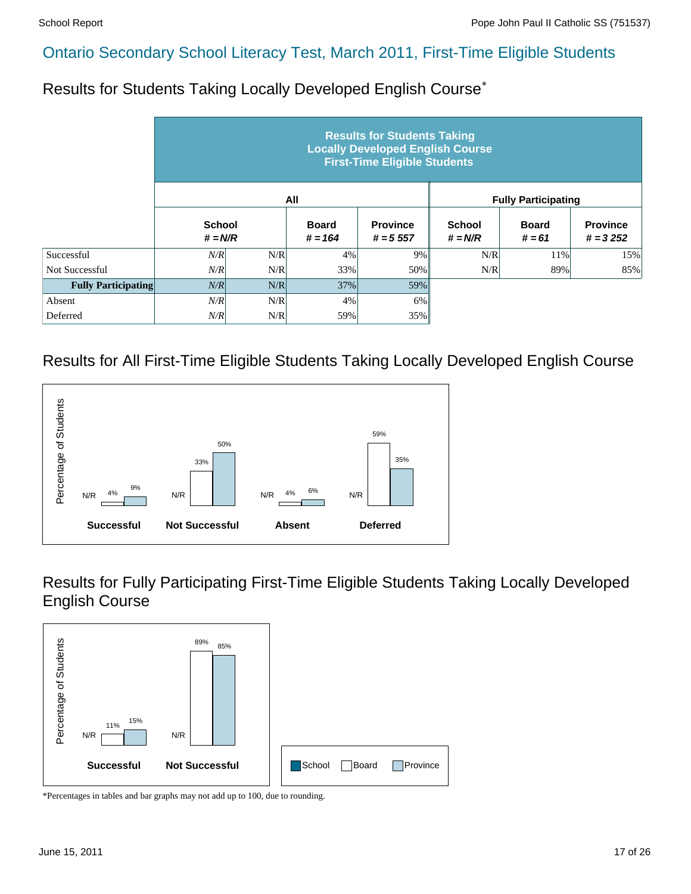Results for Students Taking Locally Developed English Course\*

|                            | <b>Results for Students Taking</b><br><b>Locally Developed English Course</b><br><b>First-Time Eligible Students</b> |     |                           |                                |                            |                          |                               |  |  |  |  |
|----------------------------|----------------------------------------------------------------------------------------------------------------------|-----|---------------------------|--------------------------------|----------------------------|--------------------------|-------------------------------|--|--|--|--|
|                            |                                                                                                                      |     | All                       |                                | <b>Fully Participating</b> |                          |                               |  |  |  |  |
|                            | <b>School</b><br>$# = N/R$                                                                                           |     | <b>Board</b><br>$# = 164$ | <b>Province</b><br>$# = 5.557$ | <b>School</b><br>$# = N/R$ | <b>Board</b><br>$# = 61$ | <b>Province</b><br>$# = 3252$ |  |  |  |  |
| Successful                 | N/R                                                                                                                  | N/R | 4%                        | 9%                             | N/R                        | 11%                      | 15%                           |  |  |  |  |
| Not Successful             | N/R                                                                                                                  | N/R | 33%                       | 50%                            | N/R                        | 89%                      | 85%                           |  |  |  |  |
| <b>Fully Participating</b> | N/R                                                                                                                  | N/R | 37%                       | 59%                            |                            |                          |                               |  |  |  |  |
| Absent                     | N/R                                                                                                                  | N/R | 4%                        | 6%                             |                            |                          |                               |  |  |  |  |
| Deferred                   | N/R                                                                                                                  | N/R | 59%                       | 35%                            |                            |                          |                               |  |  |  |  |

#### Results for All First-Time Eligible Students Taking Locally Developed English Course



Results for Fully Participating First-Time Eligible Students Taking Locally Developed English Course

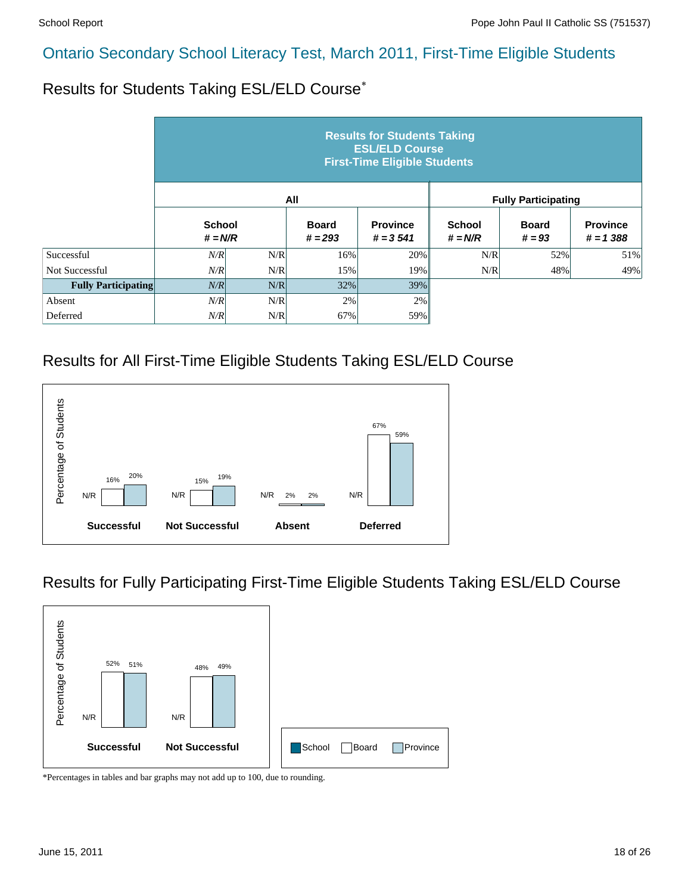Results for Students Taking ESL/ELD Course\*

|                            | <b>Results for Students Taking</b><br><b>ESL/ELD Course</b><br><b>First-Time Eligible Students</b> |     |                           |                               |                            |                          |                                |  |  |  |  |
|----------------------------|----------------------------------------------------------------------------------------------------|-----|---------------------------|-------------------------------|----------------------------|--------------------------|--------------------------------|--|--|--|--|
|                            |                                                                                                    |     | All                       |                               | <b>Fully Participating</b> |                          |                                |  |  |  |  |
|                            | <b>School</b><br>$# = N/R$                                                                         |     | <b>Board</b><br>$# = 293$ | <b>Province</b><br>$# = 3541$ | <b>School</b><br>$# = N/R$ | <b>Board</b><br>$# = 93$ | <b>Province</b><br>$# = 1,388$ |  |  |  |  |
| Successful                 | N/R                                                                                                | N/R | 16%                       | 20%                           | N/R                        | 52%                      | 51%                            |  |  |  |  |
| Not Successful             | N/R                                                                                                | N/R | 15%                       | 19%                           | N/R                        | 48%                      | 49%                            |  |  |  |  |
| <b>Fully Participating</b> | N/R                                                                                                | N/R | 32%                       | 39%                           |                            |                          |                                |  |  |  |  |
| Absent                     | N/R                                                                                                | N/R | 2%                        | 2%                            |                            |                          |                                |  |  |  |  |
| Deferred                   | N/R                                                                                                | N/R | 67%                       | 59%                           |                            |                          |                                |  |  |  |  |

#### Results for All First-Time Eligible Students Taking ESL/ELD Course



#### Results for Fully Participating First-Time Eligible Students Taking ESL/ELD Course

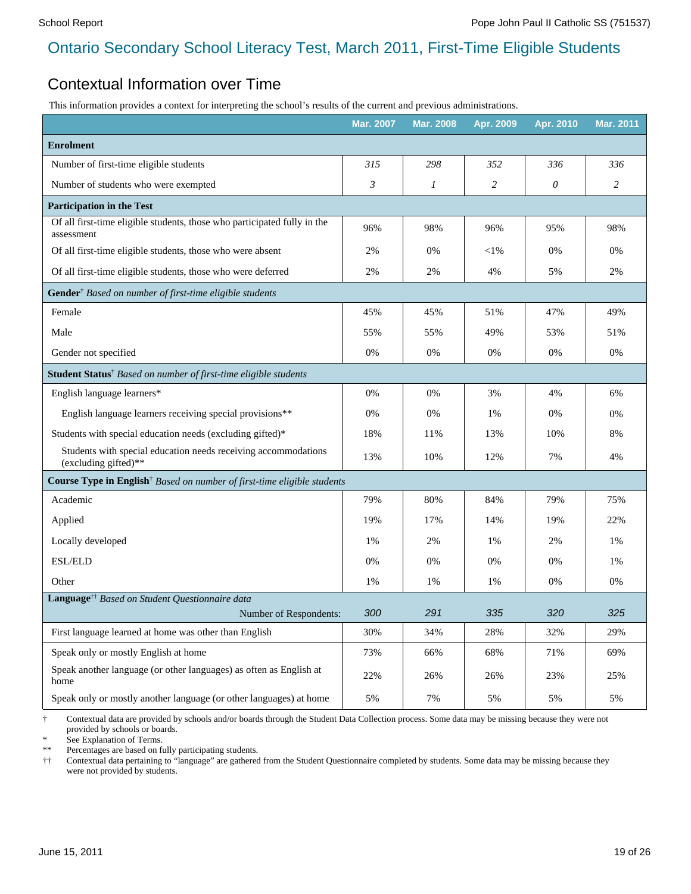#### Contextual Information over Time

This information provides a context for interpreting the school's results of the current and previous administrations.

|                                                                                        | <b>Mar. 2007</b> | <b>Mar. 2008</b> | Apr. 2009 | Apr. 2010 | <b>Mar. 2011</b> |
|----------------------------------------------------------------------------------------|------------------|------------------|-----------|-----------|------------------|
| <b>Enrolment</b>                                                                       |                  |                  |           |           |                  |
| Number of first-time eligible students                                                 | 315              | 298              | 352       | 336       | 336              |
| Number of students who were exempted                                                   | $\mathfrak{Z}$   | 1                | 2         | 0         | $\overline{c}$   |
| <b>Participation in the Test</b>                                                       |                  |                  |           |           |                  |
| Of all first-time eligible students, those who participated fully in the<br>assessment | 96%              | 98%              | 96%       | 95%       | 98%              |
| Of all first-time eligible students, those who were absent                             | 2%               | 0%               | $<$ 1%    | 0%        | 0%               |
| Of all first-time eligible students, those who were deferred                           | 2%               | 2%               | 4%        | 5%        | 2%               |
| Gender <sup>†</sup> Based on number of first-time eligible students                    |                  |                  |           |           |                  |
| Female                                                                                 | 45%              | 45%              | 51%       | 47%       | 49%              |
| Male                                                                                   | 55%              | 55%              | 49%       | 53%       | 51%              |
| Gender not specified                                                                   | 0%               | 0%               | 0%        | 0%        | 0%               |
| Student Status <sup>†</sup> Based on number of first-time eligible students            |                  |                  |           |           |                  |
| English language learners*                                                             | 0%               | 0%               | 3%        | 4%        | 6%               |
| English language learners receiving special provisions**                               | 0%               | 0%               | 1%        | 0%        | 0%               |
| Students with special education needs (excluding gifted)*                              | 18%              | 11%              | 13%       | 10%       | 8%               |
| Students with special education needs receiving accommodations<br>(excluding gifted)** | 13%              | 10%              | 12%       | 7%        | 4%               |
| Course Type in English <sup>†</sup> Based on number of first-time eligible students    |                  |                  |           |           |                  |
| Academic                                                                               | 79%              | 80%              | 84%       | 79%       | 75%              |
| Applied                                                                                | 19%              | 17%              | 14%       | 19%       | 22%              |
| Locally developed                                                                      | 1%               | 2%               | 1%        | 2%        | 1%               |
| $\operatorname{ESL/ELD}$                                                               | 0%               | 0%               | 0%        | 0%        | 1%               |
| Other                                                                                  | 1%               | 1%               | 1%        | 0%        | 0%               |
| Language <sup>††</sup> Based on Student Questionnaire data                             |                  |                  |           |           |                  |
| Number of Respondents:                                                                 | 300              | 291              | 335       | 320       | 325              |
| First language learned at home was other than English                                  | 30%              | 34%              | 28%       | 32%       | 29%              |
| Speak only or mostly English at home                                                   | 73%              | 66%              | 68%       | 71%       | 69%              |
| Speak another language (or other languages) as often as English at<br>home             | 22%              | 26%              | 26%       | 23%       | 25%              |
| Speak only or mostly another language (or other languages) at home                     | 5%               | 7%               | 5%        | 5%        | 5%               |

† Contextual data are provided by schools and/or boards through the Student Data Collection process. Some data may be missing because they were not provided by schools or boards.

See Explanation of Terms.

\*\* Percentages are based on fully participating students.

†† Contextual data pertaining to "language" are gathered from the Student Questionnaire completed by students. Some data may be missing because they were not provided by students.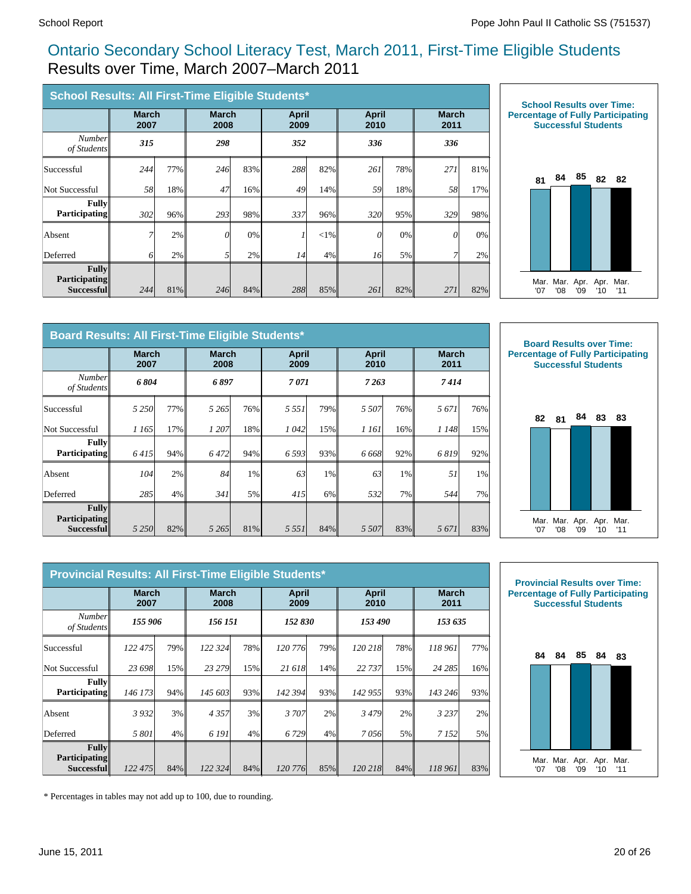#### Ontario Secondary School Literacy Test, March 2011, First-Time Eligible Students Results over Time, March 2007–March 2011

| School Results: All First-Time Eligible Students* |                      |     |                      |     |                      |        |                      |     |                      |     |  |
|---------------------------------------------------|----------------------|-----|----------------------|-----|----------------------|--------|----------------------|-----|----------------------|-----|--|
|                                                   | <b>March</b><br>2007 |     | <b>March</b><br>2008 |     | <b>April</b><br>2009 |        | <b>April</b><br>2010 |     | <b>March</b><br>2011 |     |  |
| <b>Number</b><br>of Students                      | 315                  |     | 298                  |     | 352                  |        | 336                  |     | 336                  |     |  |
| Successful                                        | 244                  | 77% | 246                  | 83% | 288                  | 82%    | 261                  | 78% | 271                  | 81% |  |
| Not Successful                                    | 58                   | 18% | 47                   | 16% | 49                   | 14%    | 59                   | 18% | 58                   | 17% |  |
| <b>Fully</b><br><b>Participating</b>              | 302                  | 96% | 293                  | 98% | 337                  | 96%    | 320                  | 95% | 329                  | 98% |  |
| Absent                                            | 7                    | 2%  | $\theta$             | 0%  | 1                    | $<$ 1% | 0                    | 0%  | $\theta$             | 0%  |  |
| Deferred                                          | 6                    | 2%  |                      | 2%  | 14                   | 4%     | 16                   | 5%  |                      | 2%  |  |
| Fullv<br><b>Participating</b><br>Successful       | 244                  | 81% | 246                  | 84% | 288                  | 85%    | 261                  | 82% | 271                  | 82% |  |



| Board Results: All First-Time Eligible Students*   |                      |     |                      |       |                      |     |                      |       |                      |       |  |
|----------------------------------------------------|----------------------|-----|----------------------|-------|----------------------|-----|----------------------|-------|----------------------|-------|--|
|                                                    | <b>March</b><br>2007 |     | <b>March</b><br>2008 |       | <b>April</b><br>2009 |     | <b>April</b><br>2010 |       | <b>March</b><br>2011 |       |  |
| Number<br>of Students                              | 6804                 |     | 6 897                |       | 7071                 |     | 7263                 |       | 7414                 |       |  |
| Successful                                         | 5 2 5 0              | 77% | 5 265                | 76%   | 5 5 5 1              | 79% | 5 5 0 7              | 76%   | 5671                 | 76%   |  |
| Not Successful                                     | 1 165                | 17% | 1 207                | 18%   | 1042                 | 15% | 1 161                | 16%   | 1 148                | 15%   |  |
| <b>Fully</b><br><b>Participating</b>               | 6415                 | 94% | 6472                 | 94%   | 6 5 9 3              | 93% | 6 6 6 8              | 92%   | 6819                 | 92%   |  |
| Absent                                             | 104                  | 2%  | 84                   | $1\%$ | 63                   | 1%  | 63                   | $1\%$ | 51                   | $1\%$ |  |
| Deferred                                           | 285                  | 4%  | 341                  | 5%    | 415                  | 6%  | 532                  | 7%    | 544                  | 7%    |  |
| Fullv<br><b>Participating</b><br><b>Successful</b> | 5 2 5 0              | 82% | 5 2 6 5              | 81%   | 5 5 5 1              | 84% | 5 5 0 7              | 83%   | 5671                 | 83%   |  |



| Provincial Results: All First-Time Eligible Students* |                      |     |                      |     |                      |     |                      |     |                      |     |  |
|-------------------------------------------------------|----------------------|-----|----------------------|-----|----------------------|-----|----------------------|-----|----------------------|-----|--|
|                                                       | <b>March</b><br>2007 |     | <b>March</b><br>2008 |     | <b>April</b><br>2009 |     | <b>April</b><br>2010 |     | <b>March</b><br>2011 |     |  |
| Number<br>of Students                                 | 155 906              |     | 156 151              |     | 152 830              |     | 153 490              |     | 153 635              |     |  |
| Successful                                            | 122 475              | 79% | 122 324              | 78% | 120 776              | 79% | 120 218              | 78% | 118 961              | 77% |  |
| Not Successful                                        | 23 698               | 15% | 23 279               | 15% | 21 618               | 14% | 22 737               | 15% | 24 285               | 16% |  |
| <b>Fully</b><br><b>Participating</b>                  | 146 173              | 94% | 145 603              | 93% | 142 394              | 93% | 142 955              | 93% | 143 246              | 93% |  |
| Absent                                                | 3932                 | 3%  | 4357                 | 3%  | 3 707                | 2%  | 3479                 | 2%  | 3 2 3 7              | 2%  |  |
| Deferred                                              | 5 801                | 4%  | 6 191                | 4%  | 6729                 | 4%  | 7056                 | 5%  | 7 1 5 2              | 5%  |  |
| <b>Fully</b><br><b>Participating</b><br>Successful    | 122 475              | 84% | 122 324              | 84% | 120 776              | 85% | 120 218              | 84% | 118 961              | 83% |  |



\* Percentages in tables may not add up to 100, due to rounding.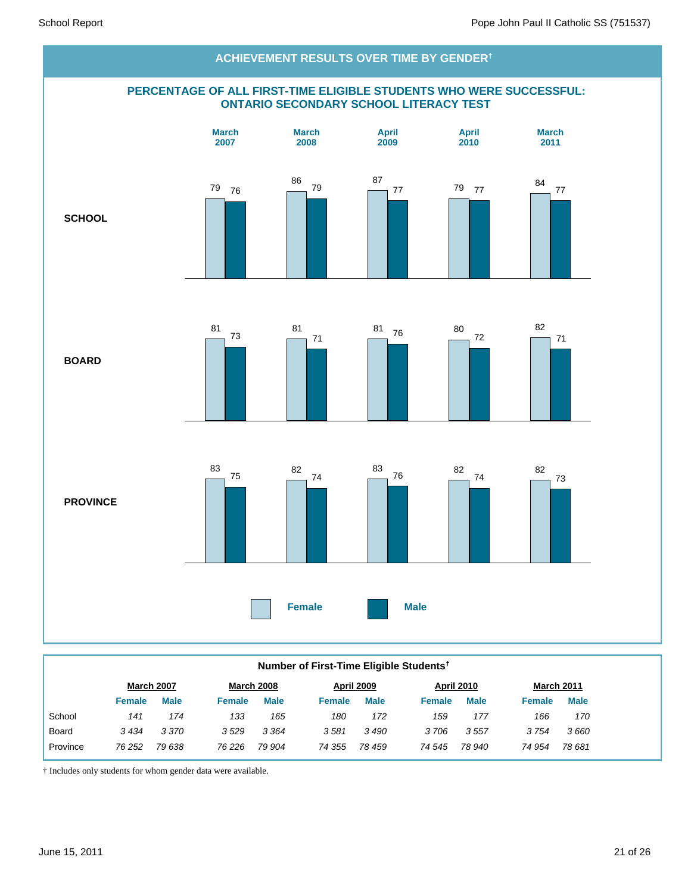

#### **Number of First-Time Eligible Students†**

| <b>Male</b><br><b>Male</b><br><b>Male</b><br>Female<br><b>Female</b><br><b>Female</b><br><b>Female</b> | <b>Male</b><br><b>Male</b><br>Female |
|--------------------------------------------------------------------------------------------------------|--------------------------------------|
| School<br>133<br>165<br>172<br>174<br>180<br>141<br>159                                                | 166<br>170<br>177                    |
| 3 3 7 0<br>3529<br>3 3 6 4<br>3581<br>3 490<br>3434<br>3706<br>Board                                   | 3 754<br>3557<br>3660                |
| 79 638<br>78 459<br>78 940<br>Province<br>76 226<br>79 904<br>74 355<br>76 252<br>74 545               | 74 954<br>78 681                     |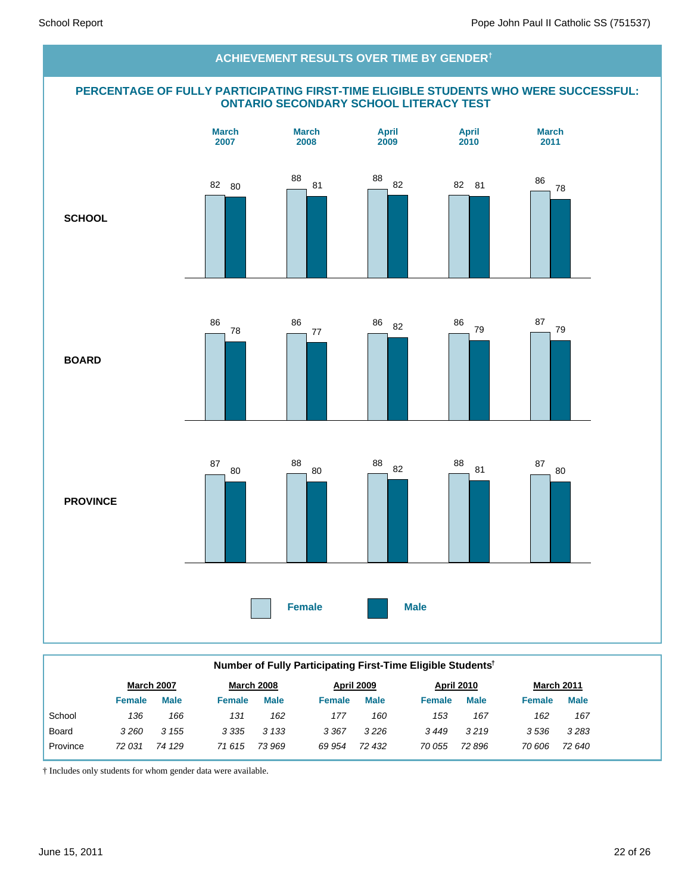#### **PERCENTAGE OF FULLY PARTICIPATING FIRST-TIME ELIGIBLE STUDENTS WHO WERE SUCCESSFUL: ONTARIO SECONDARY SCHOOL LITERACY TEST SCHOOL BOARD PROVINCE Female Male March 2007 March 2008 April 2009 April 2010 March 2011 ACHIEVEMENT RESULTS OVER TIME BY GENDER†** 82 80 88 81 88 82 82 81 86 78 86 78 86 77 <sup>86</sup> <sup>82</sup> <sup>86</sup> 79 87 79 87 80 88 80 <sup>88</sup> <sup>82</sup> <sup>88</sup> 81 87 80

|          | Number of Fully Participating First-Time Eligible Students <sup>†</sup> |             |                   |             |               |                   |               |                   |               |                   |  |  |
|----------|-------------------------------------------------------------------------|-------------|-------------------|-------------|---------------|-------------------|---------------|-------------------|---------------|-------------------|--|--|
|          | March 2007                                                              |             | <b>March 2008</b> |             |               | <b>April 2009</b> |               | <b>April 2010</b> |               | <b>March 2011</b> |  |  |
|          | <b>Female</b>                                                           | <b>Male</b> | <b>Female</b>     | <b>Male</b> | <b>Female</b> | <b>Male</b>       | <b>Female</b> | <b>Male</b>       | <b>Female</b> | <b>Male</b>       |  |  |
| School   | 136                                                                     | 166         | 131               | 162         | 177           | 160               | 153           | 167               | 162           | 167               |  |  |
| Board    | 3260                                                                    | 3 1 5 5     | 3 3 3 5           | 3 1 3 3     | 3 3 6 7       | 3226              | 3449          | 3219              | 3536          | 3283              |  |  |
| Province | 72 031                                                                  | 74 129      | 71 615            | 73 969      | 69 954        | 72 432            | 70 055        | 72 896            | 70 606        | 72 640            |  |  |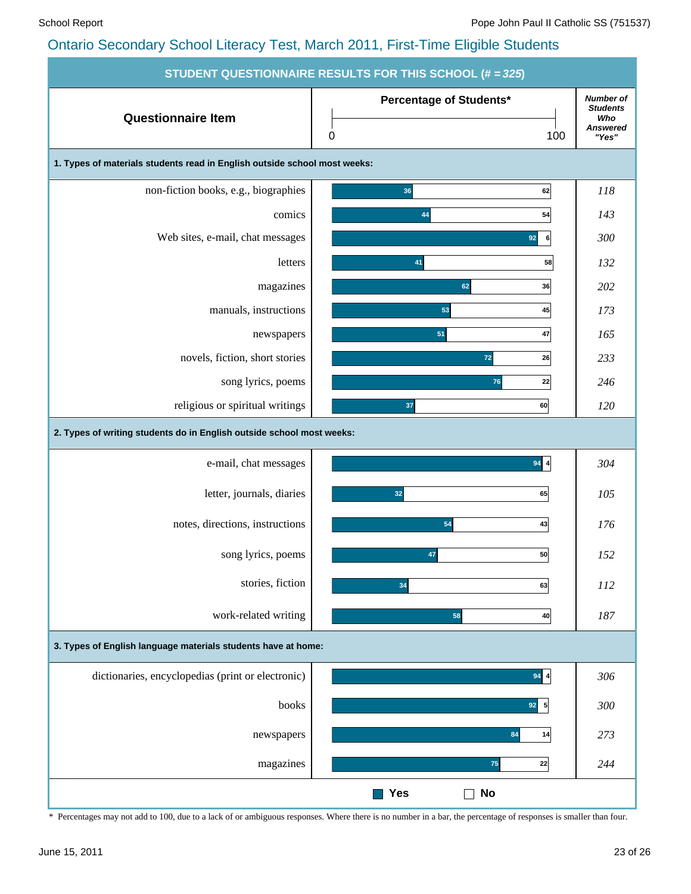| STUDENT QUESTIONNAIRE RESULTS FOR THIS SCHOOL (# = 325)                   |                                             |                                                                 |  |  |  |  |  |  |  |  |  |
|---------------------------------------------------------------------------|---------------------------------------------|-----------------------------------------------------------------|--|--|--|--|--|--|--|--|--|
| <b>Questionnaire Item</b>                                                 | Percentage of Students*<br>100<br>$\pmb{0}$ | <b>Number of</b><br><b>Students</b><br>Who<br>Answered<br>"Yes" |  |  |  |  |  |  |  |  |  |
| 1. Types of materials students read in English outside school most weeks: |                                             |                                                                 |  |  |  |  |  |  |  |  |  |
| non-fiction books, e.g., biographies                                      | 36<br>62                                    | 118                                                             |  |  |  |  |  |  |  |  |  |
| comics                                                                    | 54<br>44                                    | 143                                                             |  |  |  |  |  |  |  |  |  |
| Web sites, e-mail, chat messages                                          | 92<br>6                                     | 300                                                             |  |  |  |  |  |  |  |  |  |
| letters                                                                   | 58<br>41                                    | 132                                                             |  |  |  |  |  |  |  |  |  |
| magazines                                                                 | 36<br>62                                    | 202                                                             |  |  |  |  |  |  |  |  |  |
| manuals, instructions                                                     | 45<br>53                                    | 173                                                             |  |  |  |  |  |  |  |  |  |
| newspapers                                                                | 47<br>51                                    | 165                                                             |  |  |  |  |  |  |  |  |  |
| novels, fiction, short stories                                            | $72$<br>26                                  | 233                                                             |  |  |  |  |  |  |  |  |  |
| song lyrics, poems                                                        | 22<br>76                                    | 246                                                             |  |  |  |  |  |  |  |  |  |
| religious or spiritual writings                                           | 37<br>60                                    | 120                                                             |  |  |  |  |  |  |  |  |  |
| 2. Types of writing students do in English outside school most weeks:     |                                             |                                                                 |  |  |  |  |  |  |  |  |  |
| e-mail, chat messages                                                     | $94$ $4$                                    | 304                                                             |  |  |  |  |  |  |  |  |  |
| letter, journals, diaries                                                 | 32<br>65                                    | 105                                                             |  |  |  |  |  |  |  |  |  |
| notes, directions, instructions                                           | 54<br>43                                    | 176                                                             |  |  |  |  |  |  |  |  |  |
| song lyrics, poems                                                        | 47<br>50                                    | 152                                                             |  |  |  |  |  |  |  |  |  |
| stories, fiction                                                          | 34<br>63                                    | 112                                                             |  |  |  |  |  |  |  |  |  |
| work-related writing                                                      | 58<br>40                                    | 187                                                             |  |  |  |  |  |  |  |  |  |
| 3. Types of English language materials students have at home:             |                                             |                                                                 |  |  |  |  |  |  |  |  |  |
| dictionaries, encyclopedias (print or electronic)                         | $94$ $4$                                    | 306                                                             |  |  |  |  |  |  |  |  |  |
| books                                                                     | $\overline{\phantom{a}}$<br>92              | 300                                                             |  |  |  |  |  |  |  |  |  |
| newspapers                                                                | 84<br>14                                    | 273                                                             |  |  |  |  |  |  |  |  |  |
| magazines                                                                 | 75<br>22                                    | 244                                                             |  |  |  |  |  |  |  |  |  |
|                                                                           | <b>Yes</b><br>No                            |                                                                 |  |  |  |  |  |  |  |  |  |

\* Percentages may not add to 100, due to a lack of or ambiguous responses. Where there is no number in a bar, the percentage of responses is smaller than four.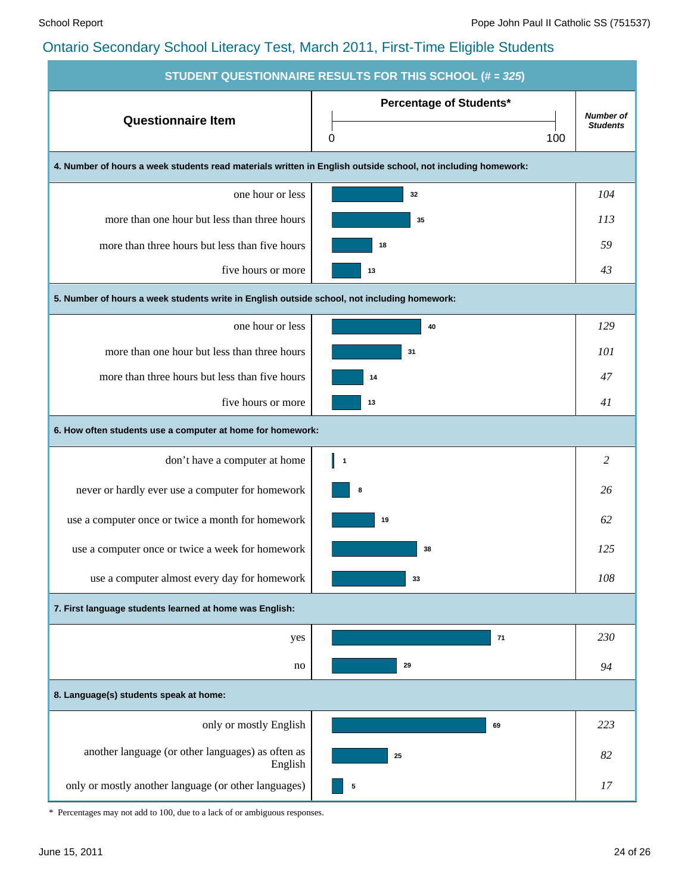| <b>STUDENT QUESTIONNAIRE RESULTS FOR THIS SCHOOL (# = 325)</b>                                               |                                            |                                     |  |  |  |  |  |  |  |  |
|--------------------------------------------------------------------------------------------------------------|--------------------------------------------|-------------------------------------|--|--|--|--|--|--|--|--|
| <b>Questionnaire Item</b>                                                                                    | <b>Percentage of Students*</b><br>0<br>100 | <b>Number of</b><br><b>Students</b> |  |  |  |  |  |  |  |  |
| 4. Number of hours a week students read materials written in English outside school, not including homework: |                                            |                                     |  |  |  |  |  |  |  |  |
| one hour or less                                                                                             | 32                                         | 104                                 |  |  |  |  |  |  |  |  |
| more than one hour but less than three hours                                                                 | 35                                         | 113                                 |  |  |  |  |  |  |  |  |
| more than three hours but less than five hours                                                               | 18                                         | 59                                  |  |  |  |  |  |  |  |  |
| five hours or more                                                                                           | 13                                         | 43                                  |  |  |  |  |  |  |  |  |
| 5. Number of hours a week students write in English outside school, not including homework:                  |                                            |                                     |  |  |  |  |  |  |  |  |
| one hour or less                                                                                             | 40                                         | 129                                 |  |  |  |  |  |  |  |  |
| more than one hour but less than three hours                                                                 | 31                                         | 101                                 |  |  |  |  |  |  |  |  |
| more than three hours but less than five hours                                                               | 14                                         | 47                                  |  |  |  |  |  |  |  |  |
| five hours or more                                                                                           | 13                                         | 41                                  |  |  |  |  |  |  |  |  |
| 6. How often students use a computer at home for homework:                                                   |                                            |                                     |  |  |  |  |  |  |  |  |
| don't have a computer at home                                                                                | $\vert$ 1                                  | 2                                   |  |  |  |  |  |  |  |  |
| never or hardly ever use a computer for homework                                                             | 8                                          | 26                                  |  |  |  |  |  |  |  |  |
| use a computer once or twice a month for homework                                                            | 19                                         | 62                                  |  |  |  |  |  |  |  |  |
| use a computer once or twice a week for homework                                                             | 38                                         | 125                                 |  |  |  |  |  |  |  |  |
| use a computer almost every day for homework                                                                 | 33                                         | 108                                 |  |  |  |  |  |  |  |  |
| 7. First language students learned at home was English:                                                      |                                            |                                     |  |  |  |  |  |  |  |  |
| yes                                                                                                          | 71                                         | 230                                 |  |  |  |  |  |  |  |  |
| no                                                                                                           | 29                                         | 94                                  |  |  |  |  |  |  |  |  |
| 8. Language(s) students speak at home:                                                                       |                                            |                                     |  |  |  |  |  |  |  |  |
| only or mostly English                                                                                       | 69                                         | 223                                 |  |  |  |  |  |  |  |  |
| another language (or other languages) as often as<br>English                                                 | 25                                         | 82                                  |  |  |  |  |  |  |  |  |
| only or mostly another language (or other languages)                                                         | 5                                          | 17                                  |  |  |  |  |  |  |  |  |

\* Percentages may not add to 100, due to a lack of or ambiguous responses.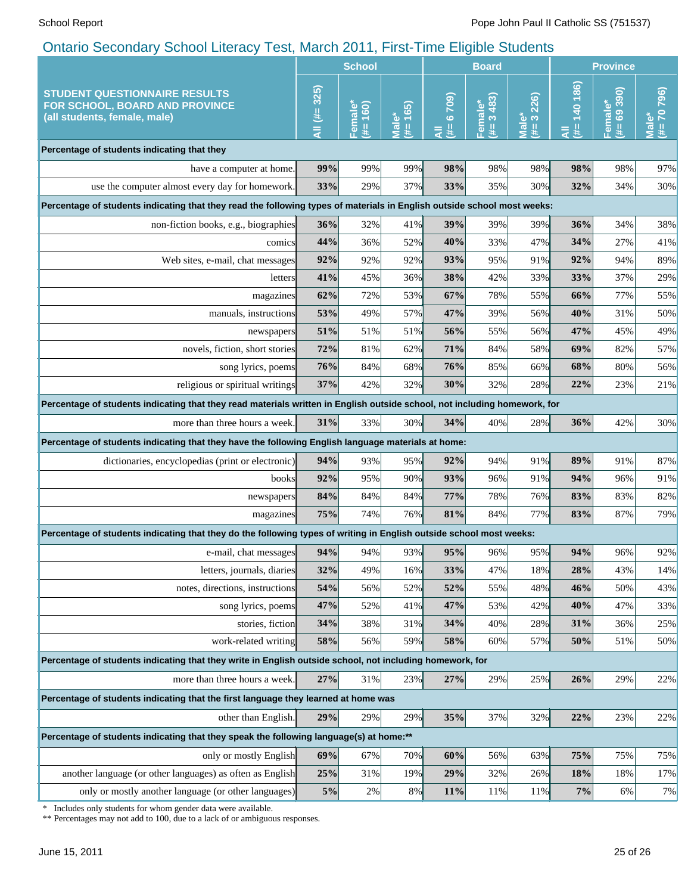|                                                                                                                                                 | <b>School</b> |                      |                                                                | <b>Board</b>     |                                    |                                                | <b>Province</b>    |                        |                                      |
|-------------------------------------------------------------------------------------------------------------------------------------------------|---------------|----------------------|----------------------------------------------------------------|------------------|------------------------------------|------------------------------------------------|--------------------|------------------------|--------------------------------------|
| <b>STUDENT QUESTIONNAIRE RESULTS</b><br>FOR SCHOOL, BOARD AND PROVINCE<br>(all students, female, male)                                          | AII (#= 325)  | Female*<br>160)<br>푳 | 165<br>$\overset{*}{\bullet}$<br>$\bar{\bar{\mathbf{z}}}$<br># | (6709)<br>里<br>₹ | 3483)<br>Female <sup>®</sup><br>y. | 226)<br>ిలా<br>$\overline{\overline{B}}$<br>₩. | 140 186)<br>里<br>₹ | 69390)<br>Female*<br>进 | 796<br>$(# = 70)$<br>ٶ<br><b>IeM</b> |
| Percentage of students indicating that they                                                                                                     |               |                      |                                                                |                  |                                    |                                                |                    |                        |                                      |
| have a computer at home.                                                                                                                        | 99%           | 99%                  | 99%                                                            | 98%              | 98%                                | 98%                                            | 98%                | 98%                    | 97%                                  |
| use the computer almost every day for homework.                                                                                                 | 33%           | 29%                  | 37%                                                            | 33%              | 35%                                | 30%                                            | 32%                | 34%                    | 30%                                  |
| Percentage of students indicating that they read the following types of materials in English outside school most weeks:                         |               |                      |                                                                |                  |                                    |                                                |                    |                        |                                      |
| non-fiction books, e.g., biographies                                                                                                            | 36%           | 32%                  | 41%                                                            | 39%              | 39%                                | 39%                                            | 36%                | 34%                    | 38%                                  |
| comics                                                                                                                                          | 44%           | 36%                  | 52%                                                            | 40%              | 33%                                | 47%                                            | 34%                | 27%                    | 41%                                  |
| Web sites, e-mail, chat messages                                                                                                                | 92%           | 92%                  | 92%                                                            | 93%              | 95%                                | 91%                                            | 92%                | 94%                    | 89%                                  |
| letters                                                                                                                                         | 41%           | 45%                  | 36%                                                            | 38%              | 42%                                | 33%                                            | 33%                | 37%                    | 29%                                  |
| magazines                                                                                                                                       | 62%           | 72%                  | 53%                                                            | 67%              | 78%                                | 55%                                            | 66%                | 77%                    | 55%                                  |
| manuals, instructions                                                                                                                           | 53%           | 49%                  | 57%                                                            | 47%              | 39%                                | 56%                                            | 40%                | 31%                    | 50%                                  |
| newspapers                                                                                                                                      | 51%           | 51%                  | 51%                                                            | 56%              | 55%                                | 56%                                            | 47%                | 45%                    | 49%                                  |
| novels, fiction, short stories                                                                                                                  | 72%           | 81%                  | 62%                                                            | 71%              | 84%                                | 58%                                            | 69%                | 82%                    | 57%                                  |
| song lyrics, poems                                                                                                                              | 76%           | 84%                  | 68%                                                            | 76%              | 85%                                | 66%                                            | 68%                | 80%                    | 56%                                  |
| religious or spiritual writings                                                                                                                 | 37%           | 42%                  | 32%                                                            | 30%              | 32%                                | 28%                                            | 22%                | 23%                    | 21%                                  |
| Percentage of students indicating that they read materials written in English outside school, not including homework, for                       |               |                      |                                                                |                  |                                    |                                                |                    |                        |                                      |
| more than three hours a week.                                                                                                                   | 31%           | 33%                  | 30%                                                            | 34%              | 40%                                | 28%                                            | 36%                | 42%                    | 30%                                  |
| Percentage of students indicating that they have the following English language materials at home:                                              |               |                      |                                                                |                  |                                    |                                                |                    |                        |                                      |
| dictionaries, encyclopedias (print or electronic)                                                                                               | 94%           | 93%                  | 95%                                                            | 92%              | 94%                                | 91%                                            | 89%                | 91%                    | 87%                                  |
| books                                                                                                                                           | 92%           | 95%                  | 90%                                                            | 93%              | 96%                                | 91%                                            | 94%                | 96%                    | 91%                                  |
| newspapers                                                                                                                                      | 84%           | 84%                  | 84%                                                            | 77%              | 78%                                | 76%                                            | 83%                | 83%                    | 82%                                  |
| magazines                                                                                                                                       | 75%           | 74%                  | 76%                                                            | 81%              | 84%                                | 77%                                            | 83%                | 87%                    | 79%                                  |
| Percentage of students indicating that they do the following types of writing in English outside school most weeks:                             |               |                      |                                                                |                  |                                    |                                                |                    |                        |                                      |
| e-mail, chat messages                                                                                                                           | 94%           | 94%                  | $93\%$                                                         | 95%              | 96%                                | 95%                                            | 94%                | 96%                    | 92%                                  |
| letters, journals, diaries                                                                                                                      | 32%           | 49%                  | 16%                                                            | 33%              | 47%                                | 18%                                            | 28%                | 43%                    | 14%                                  |
| notes, directions, instructions                                                                                                                 | 54%           | 56%                  | 52%                                                            | 52%              | 55%                                | 48%                                            | 46%                | 50%                    | 43%                                  |
| song lyrics, poems                                                                                                                              | 47%           | 52%                  | 41%                                                            | 47%              | 53%                                | 42%                                            | 40%                | 47%                    | 33%                                  |
| stories, fiction                                                                                                                                | 34%           | 38%                  | 31%                                                            | 34%              | 40%                                | 28%                                            | 31%                | 36%                    | 25%                                  |
| work-related writing                                                                                                                            | 58%           | 56%                  | 59%                                                            | 58%              | 60%                                | 57%                                            | 50%                | 51%                    | 50%                                  |
| Percentage of students indicating that they write in English outside school, not including homework, for                                        |               |                      |                                                                |                  |                                    |                                                |                    |                        |                                      |
| more than three hours a week.                                                                                                                   | 27%           | 31%                  | 23%                                                            | 27%              | 29%                                | 25%                                            | 26%                | 29%                    | 22%                                  |
| Percentage of students indicating that the first language they learned at home was                                                              |               |                      |                                                                |                  |                                    |                                                |                    |                        |                                      |
| other than English.                                                                                                                             | 29%           | 29%                  | 29%                                                            | 35%              | 37%                                | 32%                                            | 22%                | 23%                    | 22%                                  |
| Percentage of students indicating that they speak the following language(s) at home:**                                                          |               |                      |                                                                |                  |                                    |                                                |                    |                        |                                      |
| only or mostly English                                                                                                                          | 69%           | 67%                  | 70%                                                            | 60%              | 56%                                | 63%                                            | 75%                | 75%                    | 75%                                  |
| another language (or other languages) as often as English                                                                                       | 25%           | 31%                  | 19%                                                            | 29%              | 32%                                | 26%                                            | 18%                | 18%                    | 17%                                  |
| only or mostly another language (or other languages)                                                                                            | $5\%$         | 2%                   | $8\%$                                                          | 11%              | 11%                                | 11%                                            | 7%                 | 6%                     | 7%                                   |
| Includes only students for whom gender data were available.<br>∗<br>** Percentages may not add to 100, due to a lack of or ambiguous responses. |               |                      |                                                                |                  |                                    |                                                |                    |                        |                                      |